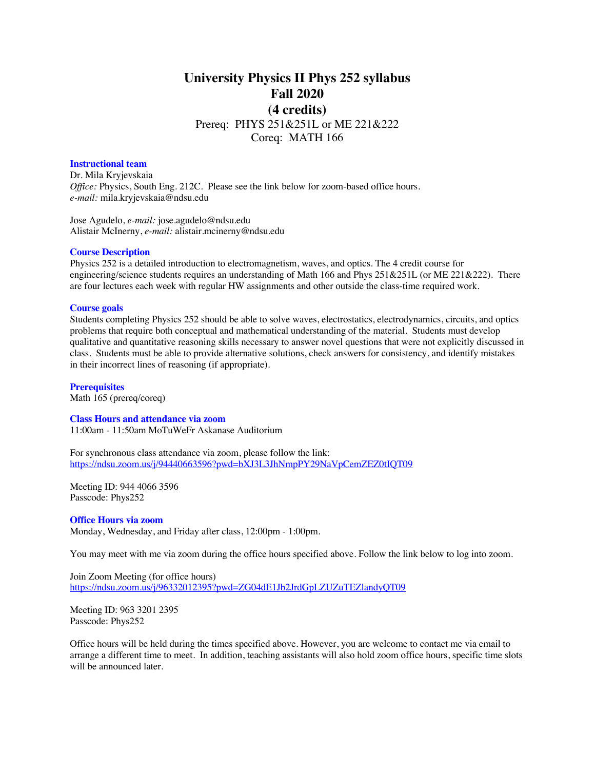# **University Physics II Phys 252 syllabus Fall 2020 (4 credits)** Prereq: PHYS 251&251L or ME 221&222

Coreq: MATH 166

# **Instructional team**

Dr. Mila Kryjevskaia *Office:* Physics, South Eng. 212C. Please see the link below for zoom-based office hours. *e-mail:* mila.kryjevskaia@ndsu.edu

Jose Agudelo, *e-mail:* jose.agudelo@ndsu.edu Alistair McInerny, *e-mail:* alistair.mcinerny@ndsu.edu

# **Course Description**

Physics 252 is a detailed introduction to electromagnetism, waves, and optics. The 4 credit course for engineering/science students requires an understanding of Math 166 and Phys 251&251L (or ME 221&222). There are four lectures each week with regular HW assignments and other outside the class-time required work.

#### **Course goals**

Students completing Physics 252 should be able to solve waves, electrostatics, electrodynamics, circuits, and optics problems that require both conceptual and mathematical understanding of the material. Students must develop qualitative and quantitative reasoning skills necessary to answer novel questions that were not explicitly discussed in class. Students must be able to provide alternative solutions, check answers for consistency, and identify mistakes in their incorrect lines of reasoning (if appropriate).

**Prerequisites** Math 165 (prereq/coreq)

#### **Class Hours and attendance via zoom**

11:00am - 11:50am MoTuWeFr Askanase Auditorium

For synchronous class attendance via zoom, please follow the link: https://ndsu.zoom.us/j/94440663596?pwd=bXJ3L3JhNmpPY29NaVpCemZEZ0tIQT09

Meeting ID: 944 4066 3596 Passcode: Phys252

#### **Office Hours via zoom**

Monday, Wednesday, and Friday after class, 12:00pm - 1:00pm.

You may meet with me via zoom during the office hours specified above. Follow the link below to log into zoom.

Join Zoom Meeting (for office hours) https://ndsu.zoom.us/j/96332012395?pwd=ZG04dE1Jb2JrdGpLZUZuTEZlandyQT09

Meeting ID: 963 3201 2395 Passcode: Phys252

Office hours will be held during the times specified above. However, you are welcome to contact me via email to arrange a different time to meet. In addition, teaching assistants will also hold zoom office hours, specific time slots will be announced later.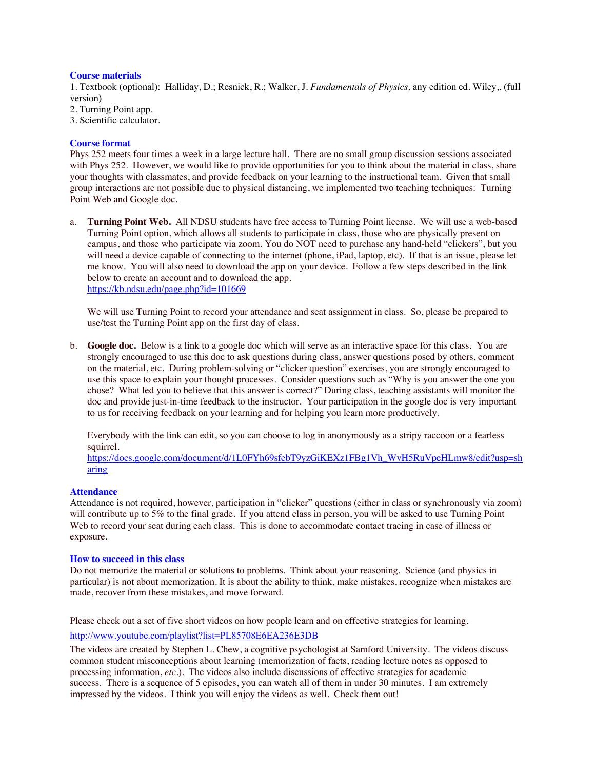# **Course materials**

1. Textbook (optional): Halliday, D.; Resnick, R.; Walker, J. *Fundamentals of Physics,* any edition ed. Wiley,. (full version)

- 2. Turning Point app.
- 3. Scientific calculator.

# **Course format**

Phys 252 meets four times a week in a large lecture hall. There are no small group discussion sessions associated with Phys 252. However, we would like to provide opportunities for you to think about the material in class, share your thoughts with classmates, and provide feedback on your learning to the instructional team. Given that small group interactions are not possible due to physical distancing, we implemented two teaching techniques: Turning Point Web and Google doc.

a. **Turning Point Web.** All NDSU students have free access to Turning Point license. We will use a web-based Turning Point option, which allows all students to participate in class, those who are physically present on campus, and those who participate via zoom. You do NOT need to purchase any hand-held "clickers", but you will need a device capable of connecting to the internet (phone, iPad, laptop, etc). If that is an issue, please let me know. You will also need to download the app on your device. Follow a few steps described in the link below to create an account and to download the app. https://kb.ndsu.edu/page.php?id=101669

We will use Turning Point to record your attendance and seat assignment in class. So, please be prepared to use/test the Turning Point app on the first day of class.

b. **Google doc.** Below is a link to a google doc which will serve as an interactive space for this class. You are strongly encouraged to use this doc to ask questions during class, answer questions posed by others, comment on the material, etc. During problem-solving or "clicker question" exercises, you are strongly encouraged to use this space to explain your thought processes. Consider questions such as "Why is you answer the one you chose? What led you to believe that this answer is correct?" During class, teaching assistants will monitor the doc and provide just-in-time feedback to the instructor. Your participation in the google doc is very important to us for receiving feedback on your learning and for helping you learn more productively.

Everybody with the link can edit, so you can choose to log in anonymously as a stripy raccoon or a fearless squirrel.

https://docs.google.com/document/d/1L0FYh69sfebT9yzGiKEXz1FBg1Vh\_WvH5RuVpeHLmw8/edit?usp=sh aring

# **Attendance**

Attendance is not required, however, participation in "clicker" questions (either in class or synchronously via zoom) will contribute up to 5% to the final grade. If you attend class in person, you will be asked to use Turning Point Web to record your seat during each class. This is done to accommodate contact tracing in case of illness or exposure.

# **How to succeed in this class**

Do not memorize the material or solutions to problems. Think about your reasoning. Science (and physics in particular) is not about memorization. It is about the ability to think, make mistakes, recognize when mistakes are made, recover from these mistakes, and move forward.

Please check out a set of five short videos on how people learn and on effective strategies for learning.

# http://www.youtube.com/playlist?list=PL85708E6EA236E3DB

The videos are created by Stephen L. Chew, a cognitive psychologist at Samford University. The videos discuss common student misconceptions about learning (memorization of facts, reading lecture notes as opposed to processing information, *etc.*). The videos also include discussions of effective strategies for academic success. There is a sequence of 5 episodes, you can watch all of them in under 30 minutes. I am extremely impressed by the videos. I think you will enjoy the videos as well. Check them out!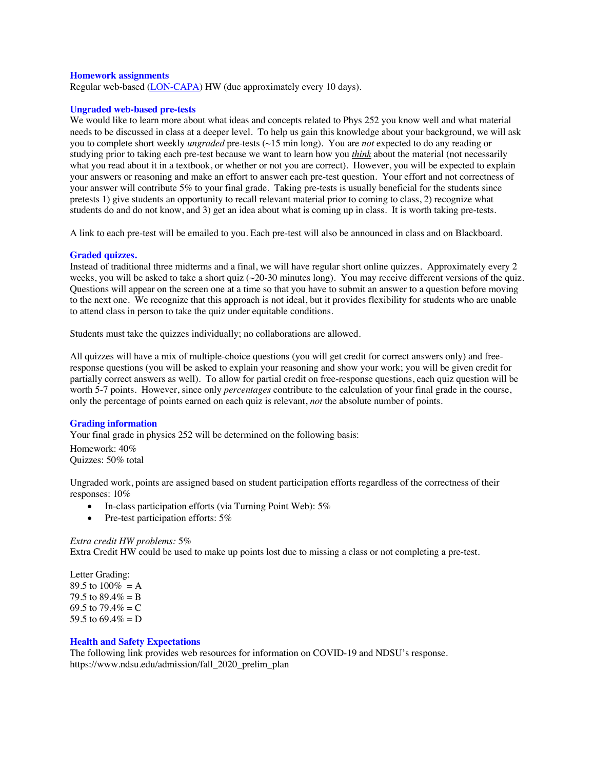#### **Homework assignments**

Regular web-based (LON-CAPA) HW (due approximately every 10 days).

#### **Ungraded web-based pre-tests**

We would like to learn more about what ideas and concepts related to Phys 252 you know well and what material needs to be discussed in class at a deeper level. To help us gain this knowledge about your background, we will ask you to complete short weekly *ungraded* pre-tests (~15 min long). You are *not* expected to do any reading or studying prior to taking each pre-test because we want to learn how you *think* about the material (not necessarily what you read about it in a textbook, or whether or not you are correct). However, you will be expected to explain your answers or reasoning and make an effort to answer each pre-test question. Your effort and not correctness of your answer will contribute 5% to your final grade. Taking pre-tests is usually beneficial for the students since pretests 1) give students an opportunity to recall relevant material prior to coming to class, 2) recognize what students do and do not know, and 3) get an idea about what is coming up in class. It is worth taking pre-tests.

A link to each pre-test will be emailed to you. Each pre-test will also be announced in class and on Blackboard.

#### **Graded quizzes.**

Instead of traditional three midterms and a final, we will have regular short online quizzes. Approximately every 2 weeks, you will be asked to take a short quiz (~20-30 minutes long). You may receive different versions of the quiz. Questions will appear on the screen one at a time so that you have to submit an answer to a question before moving to the next one. We recognize that this approach is not ideal, but it provides flexibility for students who are unable to attend class in person to take the quiz under equitable conditions.

Students must take the quizzes individually; no collaborations are allowed.

All quizzes will have a mix of multiple-choice questions (you will get credit for correct answers only) and freeresponse questions (you will be asked to explain your reasoning and show your work; you will be given credit for partially correct answers as well). To allow for partial credit on free-response questions, each quiz question will be worth 5-7 points. However, since only *percentages* contribute to the calculation of your final grade in the course, only the percentage of points earned on each quiz is relevant, *not* the absolute number of points.

# **Grading information**

Your final grade in physics 252 will be determined on the following basis: Homework: 40%

Quizzes: 50% total

Ungraded work, points are assigned based on student participation efforts regardless of the correctness of their responses: 10%

- In-class participation efforts (via Turning Point Web): 5%
	- Pre-test participation efforts: 5%

#### *Extra credit HW problems:* 5%

Extra Credit HW could be used to make up points lost due to missing a class or not completing a pre-test.

Letter Grading: 89.5 to  $100\% = A$ 79.5 to  $89.4\% = B$ 69.5 to  $79.4\% = C$ 59.5 to  $69.4\% = D$ 

# **Health and Safety Expectations**

The following link provides web resources for information on COVID-19 and NDSU's response. https://www.ndsu.edu/admission/fall\_2020\_prelim\_plan